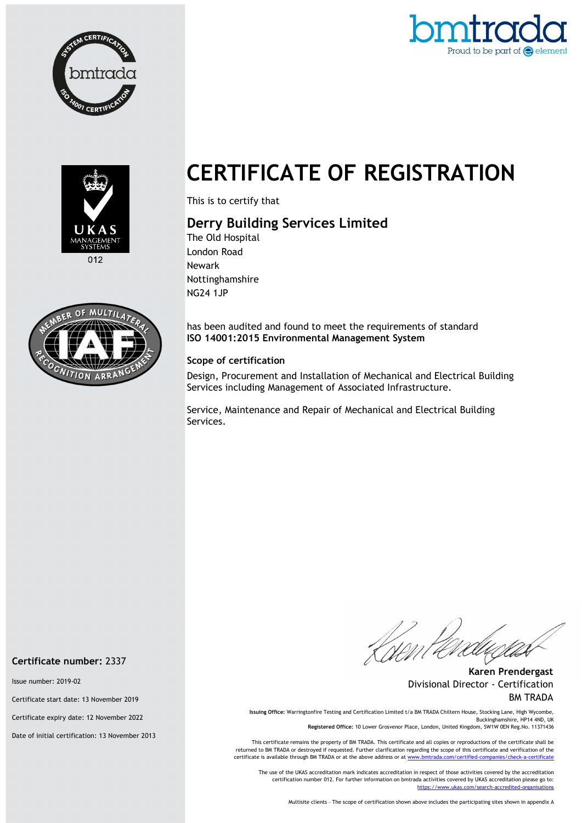







## CERTIFICATE OF REGISTRATION

This is to certify that

## Derry Building Services Limited

The Old Hospital London Road Newark Nottinghamshire NG24 1JP

has been audited and found to meet the requirements of standard ISO 14001:2015 Environmental Management System

## Scope of certification

Design, Procurement and Installation of Mechanical and Electrical Building Services including Management of Associated Infrastructure.

Service, Maintenance and Repair of Mechanical and Electrical Building Services.

Certificate number: 2337

Issue number: 2019-02

Certificate start date: 13 November 2019

Certificate expiry date: 12 November 2022

Date of initial certification: 13 November 2013

Karen Prendergast Divisional Director - Certification BM TRADA

Issuing Office: Warringtonfire Testing and Certification Limited t/a BM TRADA Chiltern House, Stocking Lane, High Wycombe, Buckinghamshire, HP14 4ND, UK Registered Office: 10 Lower Grosvenor Place, London, United Kingdom, SW1W 0EN Reg.No. 11371436

This certificate remains the property of BM TRADA. This certificate and all copies or reproductions of the certificate shall be returned to BM TRADA or destroyed if requested. Further clarification regarding the scope of this certificate and verification of the certificate is available through BM TRADA or at the above address or at www.

The use of the UKAS accreditation mark indicates accreditation in respect of those activities covered by the accreditation certification number 012. For further information on bmtrada activities covered by UKAS accreditation please go to: https://www.ukas.com/search-accredited-organis

Multisite clients – The scope of certification shown above includes the participating sites shown in appendix A